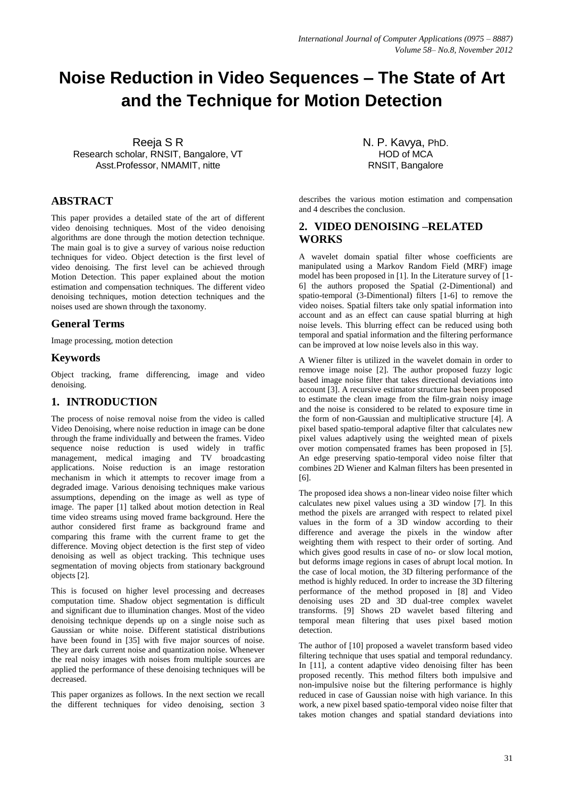# **Noise Reduction in Video Sequences – The State of Art and the Technique for Motion Detection**

Reeja S R Research scholar, RNSIT, Bangalore, VT Asst.Professor, NMAMIT, nitte

## **ABSTRACT**

This paper provides a detailed state of the art of different video denoising techniques. Most of the video denoising algorithms are done through the motion detection technique. The main goal is to give a survey of various noise reduction techniques for video. Object detection is the first level of video denoising. The first level can be achieved through Motion Detection. This paper explained about the motion estimation and compensation techniques. The different video denoising techniques, motion detection techniques and the noises used are shown through the taxonomy.

## **General Terms**

Image processing, motion detection

## **Keywords**

Object tracking, frame differencing, image and video denoising.

## **1. INTRODUCTION**

The process of noise removal noise from the video is called Video Denoising, where noise reduction in image can be done through the frame individually and between the frames. Video sequence noise reduction is used widely in traffic management, medical imaging and TV broadcasting applications. Noise reduction is an image restoration mechanism in which it attempts to recover image from a degraded image. Various denoising techniques make various assumptions, depending on the image as well as type of image. The paper [1] talked about motion detection in Real time video streams using moved frame background. Here the author considered first frame as background frame and comparing this frame with the current frame to get the difference. Moving object detection is the first step of video denoising as well as object tracking. This technique uses segmentation of moving objects from stationary background objects [2].

This is focused on higher level processing and decreases computation time. Shadow object segmentation is difficult and significant due to illumination changes. Most of the video denoising technique depends up on a single noise such as Gaussian or white noise. Different statistical distributions have been found in [35] with five major sources of noise. They are dark current noise and quantization noise. Whenever the real noisy images with noises from multiple sources are applied the performance of these denoising techniques will be decreased.

This paper organizes as follows. In the next section we recall the different techniques for video denoising, section 3 N. P. Kavya, PhD. HOD of MCA RNSIT, Bangalore

describes the various motion estimation and compensation and 4 describes the conclusion.

# **2. VIDEO DENOISING –RELATED WORKS**

A wavelet domain spatial filter whose coefficients are manipulated using a Markov Random Field (MRF) image model has been proposed in [1]. In the Literature survey of [1- 6] the authors proposed the Spatial (2-Dimentional) and spatio-temporal (3-Dimentional) filters [1-6] to remove the video noises. Spatial filters take only spatial information into account and as an effect can cause spatial blurring at high noise levels. This blurring effect can be reduced using both temporal and spatial information and the filtering performance can be improved at low noise levels also in this way.

A Wiener filter is utilized in the wavelet domain in order to remove image noise [2]. The author proposed fuzzy logic based image noise filter that takes directional deviations into account [3]. A recursive estimator structure has been proposed to estimate the clean image from the film-grain noisy image and the noise is considered to be related to exposure time in the form of non-Gaussian and multiplicative structure [4]. A pixel based spatio-temporal adaptive filter that calculates new pixel values adaptively using the weighted mean of pixels over motion compensated frames has been proposed in [5]. An edge preserving spatio-temporal video noise filter that combines 2D Wiener and Kalman filters has been presented in [6].

The proposed idea shows a non-linear video noise filter which calculates new pixel values using a 3D window [7]. In this method the pixels are arranged with respect to related pixel values in the form of a 3D window according to their difference and average the pixels in the window after weighting them with respect to their order of sorting. And which gives good results in case of no- or slow local motion, but deforms image regions in cases of abrupt local motion. In the case of local motion, the 3D filtering performance of the method is highly reduced. In order to increase the 3D filtering performance of the method proposed in [8] and Video denoising uses 2D and 3D dual-tree complex wavelet transforms. [9] Shows 2D wavelet based filtering and temporal mean filtering that uses pixel based motion detection.

The author of [10] proposed a wavelet transform based video filtering technique that uses spatial and temporal redundancy. In [11], a content adaptive video denoising filter has been proposed recently. This method filters both impulsive and non-impulsive noise but the filtering performance is highly reduced in case of Gaussian noise with high variance. In this work, a new pixel based spatio-temporal video noise filter that takes motion changes and spatial standard deviations into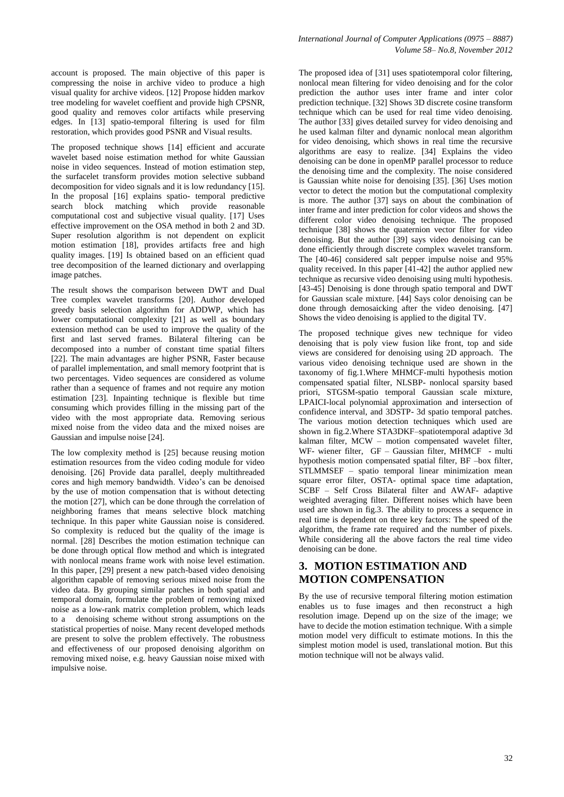account is proposed. The main objective of this paper is compressing the noise in archive video to produce a high visual quality for archive videos. [12] Propose hidden markov tree modeling for wavelet coeffient and provide high CPSNR, good quality and removes color artifacts while preserving edges. In [13] spatio-temporal filtering is used for film restoration, which provides good PSNR and Visual results.

The proposed technique shows [14] efficient and accurate wavelet based noise estimation method for white Gaussian noise in video sequences. Instead of motion estimation step, the surfacelet transform provides motion selective subband decomposition for video signals and it is low redundancy [15]. In the proposal [16] explains spatio- temporal predictive search block matching which provide reasonable computational cost and subjective visual quality. [17] Uses effective improvement on the OSA method in both 2 and 3D. Super resolution algorithm is not dependent on explicit motion estimation [18], provides artifacts free and high quality images. [19] Is obtained based on an efficient quad tree decomposition of the learned dictionary and overlapping image patches.

The result shows the comparison between DWT and Dual Tree complex wavelet transforms [20]. Author developed greedy basis selection algorithm for ADDWP, which has lower computational complexity [21] as well as boundary extension method can be used to improve the quality of the first and last served frames. Bilateral filtering can be decomposed into a number of constant time spatial filters [22]. The main advantages are higher PSNR, Faster because of parallel implementation, and small memory footprint that is two percentages. Video sequences are considered as volume rather than a sequence of frames and not require any motion estimation [23]. Inpainting technique is flexible but time consuming which provides filling in the missing part of the video with the most appropriate data. Removing serious mixed noise from the video data and the mixed noises are Gaussian and impulse noise [24].

The low complexity method is [25] because reusing motion estimation resources from the video coding module for video denoising. [26] Provide data parallel, deeply multithreaded cores and high memory bandwidth. Video's can be denoised by the use of motion compensation that is without detecting the motion [27], which can be done through the correlation of neighboring frames that means selective block matching technique. In this paper white Gaussian noise is considered. So complexity is reduced but the quality of the image is normal. [28] Describes the motion estimation technique can be done through optical flow method and which is integrated with nonlocal means frame work with noise level estimation. In this paper, [29] present a new patch-based video denoising algorithm capable of removing serious mixed noise from the video data. By grouping similar patches in both spatial and temporal domain, formulate the problem of removing mixed noise as a low-rank matrix completion problem, which leads to a denoising scheme without strong assumptions on the statistical properties of noise. Many recent developed methods are present to solve the problem effectively. The robustness and effectiveness of our proposed denoising algorithm on removing mixed noise, e.g. heavy Gaussian noise mixed with impulsive noise.

The proposed idea of [31] uses spatiotemporal color filtering, nonlocal mean filtering for video denoising and for the color prediction the author uses inter frame and inter color prediction technique. [32] Shows 3D discrete cosine transform technique which can be used for real time video denoising. The author [33] gives detailed survey for video denoising and he used kalman filter and dynamic nonlocal mean algorithm for video denoising, which shows in real time the recursive algorithms are easy to realize. [34] Explains the video denoising can be done in openMP parallel processor to reduce the denoising time and the complexity. The noise considered is Gaussian white noise for denoising [35]. [36] Uses motion vector to detect the motion but the computational complexity is more. The author [37] says on about the combination of inter frame and inter prediction for color videos and shows the different color video denoising technique. The proposed technique [38] shows the quaternion vector filter for video denoising. But the author [39] says video denoising can be done efficiently through discrete complex wavelet transform. The [40-46] considered salt pepper impulse noise and 95% quality received. In this paper [41-42] the author applied new technique as recursive video denoising using multi hypothesis. [43-45] Denoising is done through spatio temporal and DWT for Gaussian scale mixture. [44] Says color denoising can be done through demosaicking after the video denoising. [47] Shows the video denoising is applied to the digital TV.

The proposed technique gives new technique for video denoising that is poly view fusion like front, top and side views are considered for denoising using 2D approach. The various video denoising technique used are shown in the taxonomy of fig.1.Where MHMCF-multi hypothesis motion compensated spatial filter, NLSBP- nonlocal sparsity based priori, STGSM-spatio temporal Gaussian scale mixture, LPAICI-local polynomial approximation and intersection of confidence interval, and 3DSTP- 3d spatio temporal patches. The various motion detection techniques which used are shown in fig.2.Where STA3DKF–spatiotemporal adaptive 3d kalman filter, MCW – motion compensated wavelet filter, WF- wiener filter, GF – Gaussian filter, MHMCF - multi hypothesis motion compensated spatial filter, BF –box filter, STLMMSEF – spatio temporal linear minimization mean square error filter, OSTA- optimal space time adaptation, SCBF – Self Cross Bilateral filter and AWAF- adaptive weighted averaging filter. Different noises which have been used are shown in fig.3. The ability to process a sequence in real time is dependent on three key factors: The speed of the algorithm, the frame rate required and the number of pixels. While considering all the above factors the real time video denoising can be done.

## **3. MOTION ESTIMATION AND MOTION COMPENSATION**

By the use of recursive temporal filtering motion estimation enables us to fuse images and then reconstruct a high resolution image. Depend up on the size of the image; we have to decide the motion estimation technique. With a simple motion model very difficult to estimate motions. In this the simplest motion model is used, translational motion. But this motion technique will not be always valid.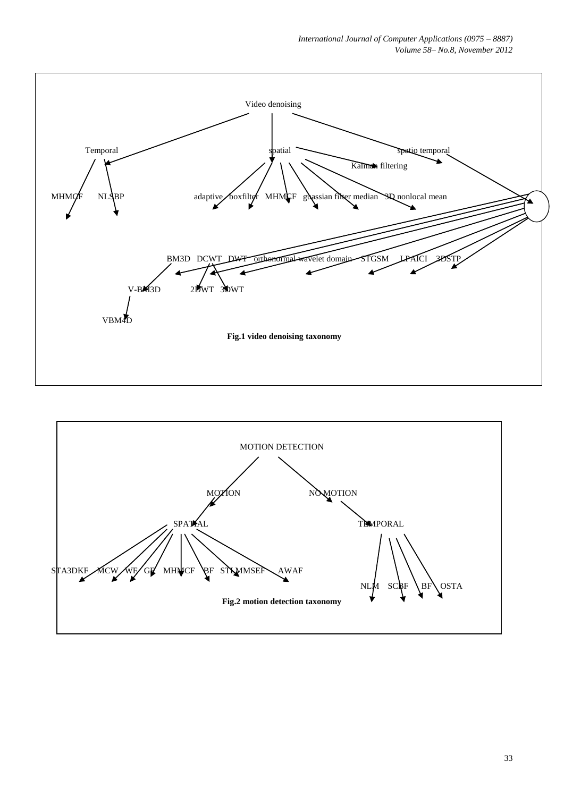

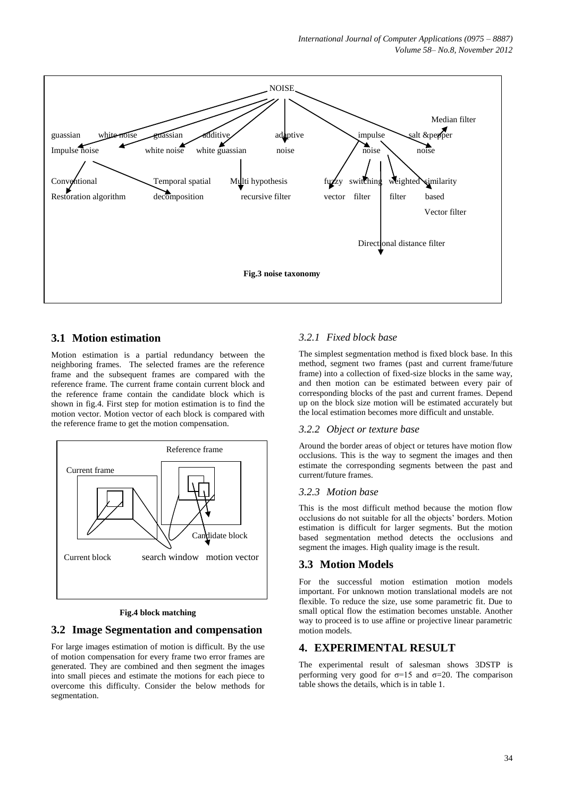*International Journal of Computer Applications (0975 – 8887) Volume 58– No.8, November 2012*



## **3.1 Motion estimation**

Motion estimation is a partial redundancy between the neighboring frames. The selected frames are the reference frame and the subsequent frames are compared with the reference frame. The current frame contain current block and the reference frame contain the candidate block which is shown in fig.4. First step for motion estimation is to find the motion vector. Motion vector of each block is compared with the reference frame to get the motion compensation.



#### **Fig.4 block matching**

#### **3.2 Image Segmentation and compensation**

For large images estimation of motion is difficult. By the use of motion compensation for every frame two error frames are generated. They are combined and then segment the images into small pieces and estimate the motions for each piece to overcome this difficulty. Consider the below methods for segmentation.

### *3.2.1 Fixed block base*

The simplest segmentation method is fixed block base. In this method, segment two frames (past and current frame/future frame) into a collection of fixed-size blocks in the same way, and then motion can be estimated between every pair of corresponding blocks of the past and current frames. Depend up on the block size motion will be estimated accurately but the local estimation becomes more difficult and unstable.

#### *3.2.2 Object or texture base*

Around the border areas of object or tetures have motion flow occlusions. This is the way to segment the images and then estimate the corresponding segments between the past and current/future frames.

#### *3.2.3 Motion base*

This is the most difficult method because the motion flow occlusions do not suitable for all the objects' borders. Motion estimation is difficult for larger segments. But the motion based segmentation method detects the occlusions and segment the images. High quality image is the result.

## **3.3 Motion Models**

For the successful motion estimation motion models important. For unknown motion translational models are not flexible. To reduce the size, use some parametric fit. Due to small optical flow the estimation becomes unstable. Another way to proceed is to use affine or projective linear parametric motion models.

## **4. EXPERIMENTAL RESULT**

The experimental result of salesman shows 3DSTP is performing very good for  $\sigma=15$  and  $\sigma=20$ . The comparison table shows the details, which is in table 1.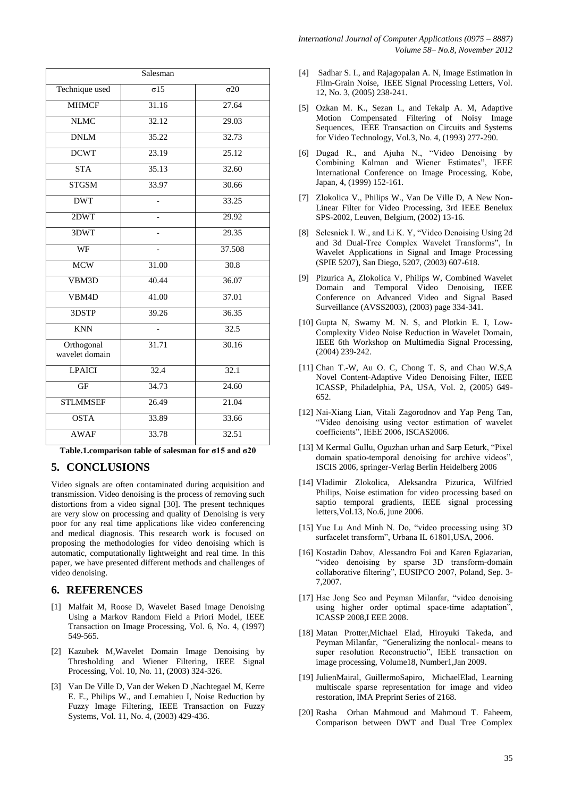| Salesman                     |                    |                        |
|------------------------------|--------------------|------------------------|
| Technique used               | $\sigma$ 15        | $\sigma$ <sup>20</sup> |
| <b>MHMCF</b>                 | 31.16              | 27.64                  |
| <b>NLMC</b>                  | 32.12              | 29.03                  |
| <b>DNLM</b>                  | 35.22              | 32.73                  |
| <b>DCWT</b>                  | 23.19              | 25.12                  |
| <b>STA</b>                   | 35.13              | 32.60                  |
| <b>STGSM</b>                 | 33.97              | 30.66                  |
| <b>DWT</b>                   |                    | 33.25                  |
| 2DWT                         |                    | 29.92                  |
| 3DWT                         |                    | 29.35                  |
| WF                           |                    | 37.508                 |
| <b>MCW</b>                   | $\overline{31.00}$ | 30.8                   |
| VBM3D                        | 40.44              | 36.07                  |
| VBM <sub>4</sub> D           | 41.00              | 37.01                  |
| 3DSTP                        | 39.26              | 36.35                  |
| <b>KNN</b>                   | $\overline{a}$     | 32.5                   |
| Orthogonal<br>wavelet domain | 31.71              | 30.16                  |
| <b>LPAICI</b>                | 32.4               | 32.1                   |
| <b>GF</b>                    | 34.73              | 24.60                  |
| <b>STLMMSEF</b>              | 26.49              | 21.04                  |
| <b>OSTA</b>                  | 33.89              | 33.66                  |
| <b>AWAF</b>                  | 33.78              | 32.51                  |

**Table.1.comparison table of salesman for σ15 and σ20**

## **5. CONCLUSIONS**

Video signals are often contaminated during acquisition and transmission. Video denoising is the process of removing such distortions from a video signal [30]. The present techniques are very slow on processing and quality of Denoising is very poor for any real time applications like video conferencing and medical diagnosis. This research work is focused on proposing the methodologies for video denoising which is automatic, computationally lightweight and real time. In this paper, we have presented different methods and challenges of video denoising.

## **6. REFERENCES**

- [1] Malfait M, Roose D, Wavelet Based Image Denoising Using a Markov Random Field a Priori Model, IEEE Transaction on Image Processing, Vol. 6, No. 4, (1997) 549-565.
- [2] Kazubek M,Wavelet Domain Image Denoising by Thresholding and Wiener Filtering, IEEE Signal Processing, Vol. 10, No. 11, (2003) 324-326.
- [3] Van De Ville D, Van der Weken D ,Nachtegael M, Kerre E. E., Philips W., and Lemahieu I, Noise Reduction by Fuzzy Image Filtering, IEEE Transaction on Fuzzy Systems, Vol. 11, No. 4, (2003) 429-436.
- [4] Sadhar S. I., and Rajagopalan A. N, Image Estimation in Film-Grain Noise, IEEE Signal Processing Letters, Vol. 12, No. 3, (2005) 238-241.
- [5] Ozkan M. K., Sezan I., and Tekalp A. M, Adaptive Motion Compensated Filtering of Noisy Image Sequences, IEEE Transaction on Circuits and Systems for Video Technology, Vol.3, No. 4, (1993) 277-290.
- [6] Dugad R., and Ajuha N., "Video Denoising by Combining Kalman and Wiener Estimates", IEEE International Conference on Image Processing, Kobe, Japan, 4, (1999) 152-161.
- [7] Zlokolica V., Philips W., Van De Ville D, A New Non-Linear Filter for Video Processing, 3rd IEEE Benelux SPS-2002, Leuven, Belgium, (2002) 13-16.
- [8] Selesnick I. W., and Li K. Y, "Video Denoising Using 2d and 3d Dual-Tree Complex Wavelet Transforms", In Wavelet Applications in Signal and Image Processing (SPIE 5207), San Diego, 5207, (2003) 607-618.
- [9] Pizurica A, Zlokolica V, Philips W, Combined Wavelet Domain and Temporal Video Denoising, IEEE Conference on Advanced Video and Signal Based Surveillance (AVSS2003), (2003) page 334-341.
- [10] Gupta N, Swamy M. N. S, and Plotkin E. I, Low-Complexity Video Noise Reduction in Wavelet Domain, IEEE 6th Workshop on Multimedia Signal Processing, (2004) 239-242.
- [11] Chan T.-W, Au O. C, Chong T. S, and Chau W.S,A Novel Content-Adaptive Video Denoising Filter, IEEE ICASSP, Philadelphia, PA, USA, Vol. 2, (2005) 649- 652.
- [12] Nai-Xiang Lian, Vitali Zagorodnov and Yap Peng Tan, "Video denoising using vector estimation of wavelet coefficients", IEEE 2006, ISCAS2006.
- [13] M Kermal Gullu, Oguzhan urhan and Sarp Eeturk, "Pixel domain spatio-temporal denoising for archive videos", ISCIS 2006, springer-Verlag Berlin Heidelberg 2006
- [14] Vladimir Zlokolica, Aleksandra Pizurica, Wilfried Philips, Noise estimation for video processing based on saptio temporal gradients, IEEE signal processing letters,Vol.13, No.6, june 2006.
- [15] Yue Lu And Minh N. Do, "video processing using 3D surfacelet transform", Urbana IL 61801, USA, 2006.
- [16] Kostadin Dabov, Alessandro Foi and Karen Egiazarian, "video denoising by sparse 3D transform-domain collaborative filtering", EUSIPCO 2007, Poland, Sep. 3- 7,2007.
- [17] Hae Jong Seo and Peyman Milanfar, "video denoising using higher order optimal space-time adaptation", ICASSP 2008,I EEE 2008.
- [18] Matan Protter,Michael Elad, Hiroyuki Takeda, and Peyman Milanfar, "Generalizing the nonlocal- means to super resolution Reconstructio", IEEE transaction on image processing, Volume18, Number1,Jan 2009.
- [19] JulienMairal, GuillermoSapiro, MichaelElad, Learning multiscale sparse representation for image and video restoration, IMA Preprint Series of 2168.
- [20] Rasha Orhan Mahmoud and Mahmoud T. Faheem, Comparison between DWT and Dual Tree Complex